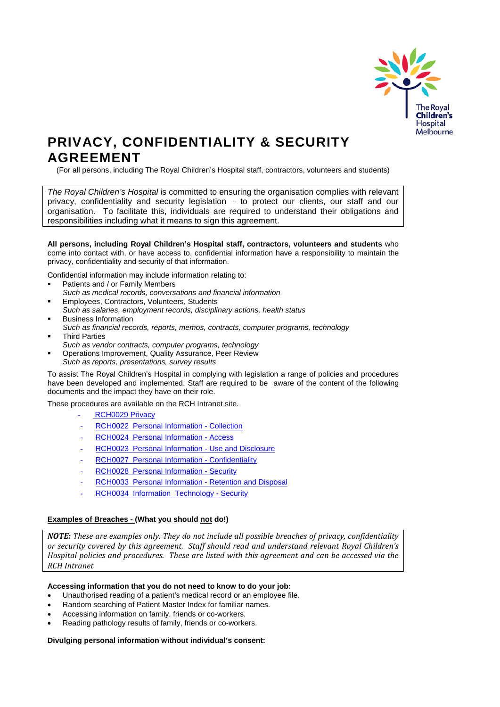

# **PRIVACY, CONFIDENTIALITY & SECURITY AGREEMENT**

(For all persons, including The Royal Children's Hospital staff, contractors, volunteers and students)

*The Royal Children's Hospital* is committed to ensuring the organisation complies with relevant privacy, confidentiality and security legislation – to protect our clients, our staff and our organisation. To facilitate this, individuals are required to understand their obligations and responsibilities including what it means to sign this agreement.

**All persons, including Royal Children's Hospital staff, contractors, volunteers and students** who come into contact with, or have access to, confidential information have a responsibility to maintain the privacy, confidentiality and security of that information.

Confidential information may include information relating to:

- Patients and / or Family Members
- *Such as medical records, conversations and financial information*
- Employees, Contractors, Volunteers, Students
- *Such as salaries, employment records, disciplinary actions, health status* Business Information
- *Such as financial records, reports, memos, contracts, computer programs, technology* Third Parties
- *Such as vendor contracts, computer programs, technology*
- Operations Improvement, Quality Assurance, Peer Review *Such as reports, presentations, survey results*

To assist The Royal Children's Hospital in complying with legislation a range of policies and procedures have been developed and implemented. Staff are required to be aware of the content of the following documents and the impact they have on their role.

These procedures are available on the RCH Intranet site.

- RCH0029 Privacy
- [RCH0022 Personal Information -](http://www.rch.org.au/policy_rch/index.cfm?doc_id=6345) Collection
- [RCH0024 Personal Information -](http://www.rch.org.au/policy_rch/index.cfm?doc_id=6349) Access
- [RCH0023 Personal Information -](http://www.rch.org.au/policy_rch/index.cfm?doc_id=6347) Use and Disclosure
- [RCH0027 Personal Information -](http://www.rch.org.au/policy_rch/index.cfm?doc_id=6354) Confidentiality
- [RCH0028 Personal Information -](http://www.rch.org.au/policy_rch/index.cfm?doc_id=6354) Security
- [RCH0033 Personal Information -](http://www.rch.org.au/policy_rch/index.cfm?doc_id=6368) Retention and Disposal
- [RCH0034 Information Technology -](http://www.rch.org.au/policy_rch/index.cfm?doc_id=6412) Security

# **Examples of Breaches - (What you should not do!)**

*NOTE: These are examples only. They do not include all possible breaches of privacy, confidentiality or security covered by this agreement. Staff should read and understand relevant Royal Children's Hospital policies and procedures. These are listed with this agreement and can be accessed via the RCH Intranet.*

#### **Accessing information that you do not need to know to do your job:**

- Unauthorised reading of a patient's medical record or an employee file.
- Random searching of Patient Master Index for familiar names.
- Accessing information on family, friends or co-workers.
- Reading pathology results of family, friends or co-workers.

#### **Divulging personal information without individual's consent:**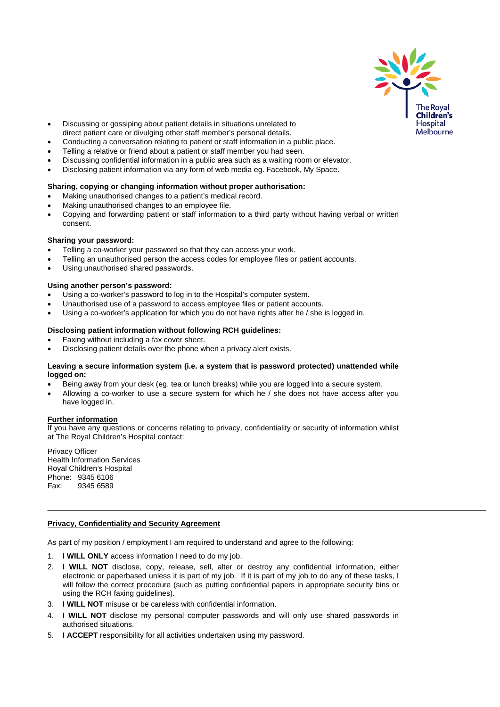

- Discussing or gossiping about patient details in situations unrelated to direct patient care or divulging other staff member's personal details.
- Conducting a conversation relating to patient or staff information in a public place.
- Telling a relative or friend about a patient or staff member you had seen.
- Discussing confidential information in a public area such as a waiting room or elevator.
- Disclosing patient information via any form of web media eg. Facebook, My Space.

# **Sharing, copying or changing information without proper authorisation:**

- Making unauthorised changes to a patient's medical record.
- Making unauthorised changes to an employee file.
- Copying and forwarding patient or staff information to a third party without having verbal or written consent.

#### **Sharing your password:**

- Telling a co-worker your password so that they can access your work.
- Telling an unauthorised person the access codes for employee files or patient accounts.
- Using unauthorised shared passwords.

#### **Using another person's password:**

- Using a co-worker's password to log in to the Hospital's computer system.
- Unauthorised use of a password to access employee files or patient accounts.
- Using a co-worker's application for which you do not have rights after he / she is logged in.

# **Disclosing patient information without following RCH guidelines:**

- Faxing without including a fax cover sheet.
- Disclosing patient details over the phone when a privacy alert exists.

### **Leaving a secure information system (i.e. a system that is password protected) unattended while logged on:**

- Being away from your desk (eg. tea or lunch breaks) while you are logged into a secure system.
- Allowing a co-worker to use a secure system for which he / she does not have access after you have logged in.

#### **Further information**

If you have any questions or concerns relating to privacy, confidentiality or security of information whilst at The Royal Children's Hospital contact:

Privacy Officer Health Information Services Royal Children's Hospital Phone: 9345 6106<br>Fax: 9345 6589 9345 6589

#### **Privacy, Confidentiality and Security Agreement**

As part of my position / employment I am required to understand and agree to the following:

- 1. **I WILL ONLY** access information I need to do my job.
- 2. **I WILL NOT** disclose, copy, release, sell, alter or destroy any confidential information, either electronic or paperbased unless it is part of my job. If it is part of my job to do any of these tasks, I will follow the correct procedure (such as putting confidential papers in appropriate security bins or using the RCH faxing guidelines).
- 3. **I WILL NOT** misuse or be careless with confidential information.
- 4. **I WILL NOT** disclose my personal computer passwords and will only use shared passwords in authorised situations.
- 5. **I ACCEPT** responsibility for all activities undertaken using my password.